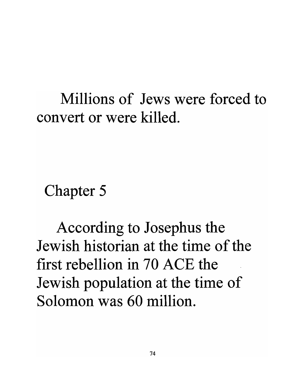## Millions of Jews were forced to convert or were killed.

Chapter 5

According to Josephus the Jewish historian at the time of the first rebellion in 70 ACE the Jewish population at the time of Solomon was 60 million.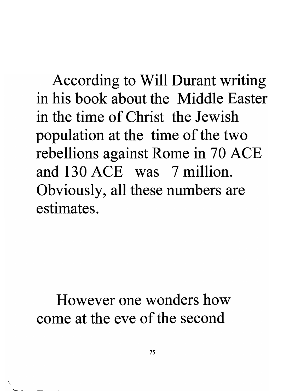According to Will Durant writing in his book about the Middle Easter in the time of Christ the Jewish population at the time of the two rebellions against Rome in 70 ACE and 130 ACE was 7 million. Obviously, all these numbers are estimates.

## However one wonders how come at the eve of the second

 $\overline{\phantom{0}}$ 

'---- ---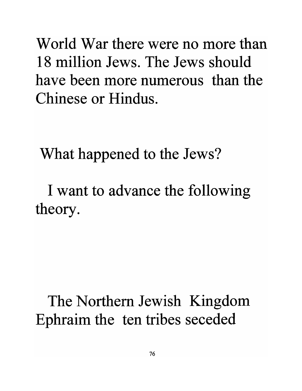World War there were no more than 18 million Jews. The Jews should have been more numerous than the Chinese or Hindus.

What happened to the Jews?

I want to advance the following theory.

The Northern Jewish Kingdom Ephraim the ten tribes seceded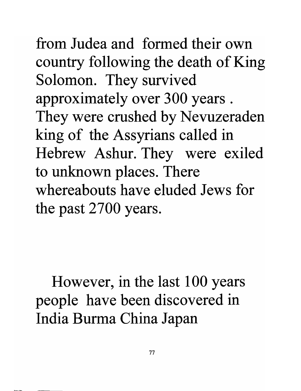from Judea and formed their own country following the death of King Solomon. They survived approximately over 300 years . They were crushed by Nevuzeraden king of the Assyrians called in Hebrew Ashur. They were exiled to unknown places. There whereabouts have eluded Jews for the past 2700 years.

However, in the last 100 years people have been discovered in India Burma China Japan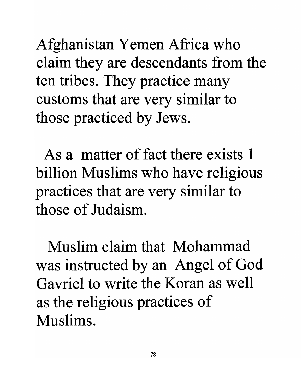Afghanistan Yemen Africa who claim they are descendants from the ten tribes. They practice many customs that are very similar to those practiced by Jews.

'.

As a matter of fact there exists 1 billion Muslims who have religious practices that are very similar to those of Judaism.

Muslim claim that Mohammad was instructed by an Angel of God Gavriel to write the Koran as well as the religious practices of Muslims.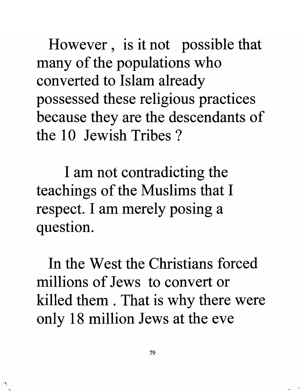However, is it not possible that many of the populations who converted to Islam already possessed these religious practices because they are the descendants of the 10 Jewish Tribes?

I am not contradicting the teachings of the Muslims that I respect. I am merely posing a question.

In the West the Christians forced millions of Jews to convert or killed them . That is why there were only 18 million Jews at the eve

 $\overline{\phantom{0}}$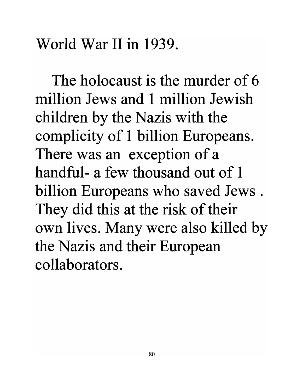World War II in 1939.

The holocaust is the murder of 6 million Jews and 1 million Jewish children by the Nazis with the complicity of 1 billion Europeans. There was an exception of a handful- a few thousand out of 1 billion Europeans who saved Jews. They did this at the risk of their own lives. Many were also killed by the Nazis and their European collaborators.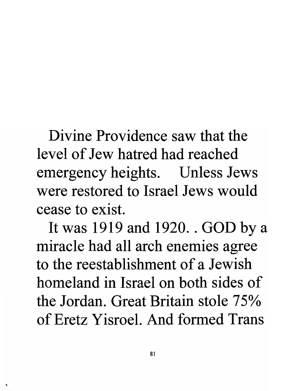Divine Providence saw that the level of Jew hatred had reached emergency heights. Unless Jews were restored to Israel Jews would cease to exist.

It was 1919 and 1920 .. GOD by a miracle had all arch enemies agree to the reestablishment of a Jewish homeland in Israel on both sides of the Jordan. Great Britain stole 75% of Eretz Yisroel. And formed Trans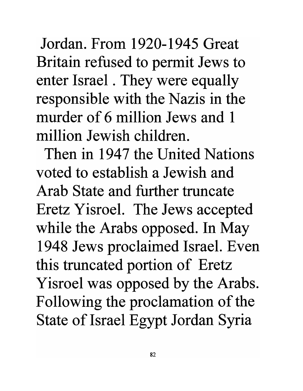Jordan. From 1920-1945 Great Britain refused to permit Jews to enter Israel . They were equally responsible with the Nazis in the murder of 6 million Jews and 1 million Jewish children.

Then in 1947 the United Nations voted to establish a Jewish and Arab State and further truncate Eretz Yisroel. The Jews accepted while the Arabs opposed. In May 1948 Jews proclaimed Israel. Even this truncated portion of Eretz Yisroel was opposed by the Arabs. Following the proclamation of the State of Israel Egypt Jordan Syria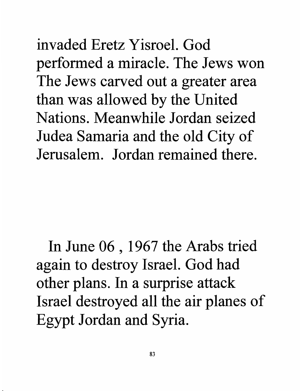invaded Eretz Yisroel. God performed a miracle. The Jews won The Jews carved out a greater area than was allowed by the United Nations. Meanwhile Jordan seized Judea Samaria and the old City of Jerusalem. Jordan remained there.

In June 06 , 1967 the Arabs tried again to destroy Israel. God had other plans. In a surprise attack Israel destroyed all the air planes of Egypt Jordan and Syria.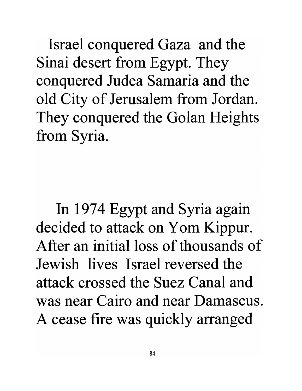Israel conquered Gaza and the Sinai desert from Egypt. They conquered Judea Samaria and the old City of Jerusalem from Jordan. They conquered the Golan Heights from Syria.

In 1974 Egypt and Syria again decided to attack on Yom Kippur. After an initial loss of thousands of Jewish lives Israel reversed the attack crossed the Suez Canal and was near Cairo and near Damascus. A cease fire was quickly arranged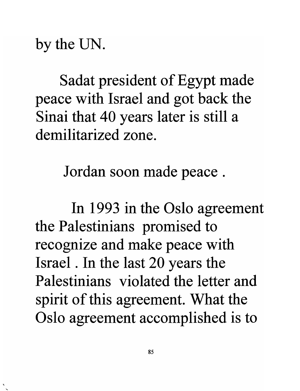by the UN.

Sadat president of Egypt made peace with Israel and got back the Sinai that 40 years later is still a demilitarized zone.

Jordan soon made peace .

In 1993 in the Oslo agreement the Palestinians promised to recognize and make peace with Israel. In the last 20 years the Palestinians violated the letter and spirit of this agreement. What the Oslo agreement accomplished is to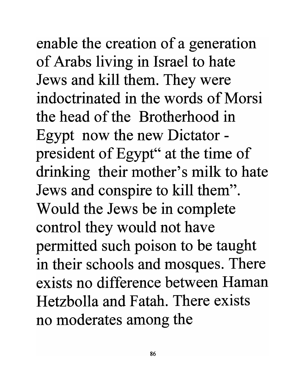enable the creation of a generation of Arabs living in Israel to hate Jews and kill them. They were indoctrinated in the words of Morsi the head of the Brotherhood in Egypt now the new Dictator president of Egypt" at the time of drinking their mother's milk to hate Jews and conspire to kill them". Would the Jews be in complete control they would not have permitted such poison to be taught in their schools and mosques. There exists no difference between Haman Hetzbolla and Fatah. There exists no moderates among the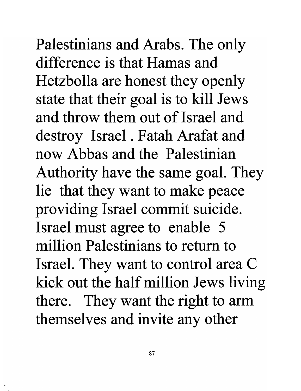Palestinians and Arabs. The only difference is that Hamas and Hetzbolla are honest they openly state that their goal is to kill Jews and throw them out of Israel and destroy Israel. Fatah Arafat and now Abbas and the Palestinian Authority have the same goal. They lie that they want to make peace providing Israel commit suicide. Israel must agree to enable 5 million Palestinians to return to Israel. They want to control area C kick out the half million Jews living there. They want the right to arm themselves and invite any other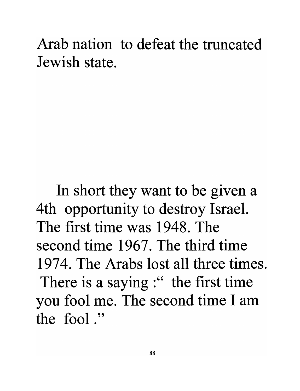## Arab nation to defeat the truncated Jewish state.

In short they want to be given a 4th opportunity to destroy Israel. The first time was 1948. The second time 1967. The third time 1974. The Arabs lost all three times. There is a saying:" the first time you fool me. The second time I am the fool."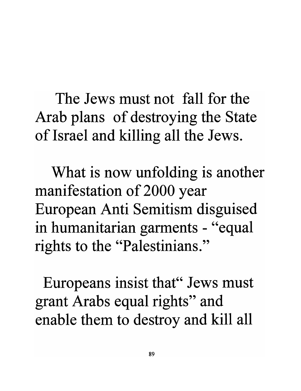The Jews must not fall for the Arab plans of destroying the State of Israel and killing all the Jews.

What is now unfolding is another manifestation of 2000 year European Anti Semitism disguised in humanitarian garments - "equal rights to the "Palestinians."

Europeans insist that" Jews must grant Arabs equal rights" and enable them to destroy and kill all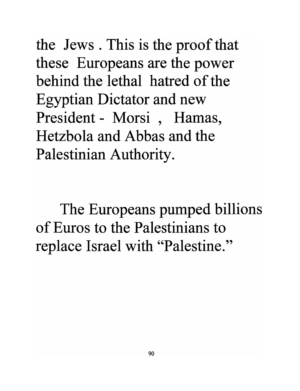the Jews. This is the proof that these Europeans are the power behind the lethal hatred of the Egyptian Dictator and new President - Morsi, Hamas, Hetzbola and Abbas and the Palestinian Authority.

The Europeans pumped billions of Euros to the Palestinians to replace Israel with "Palestine."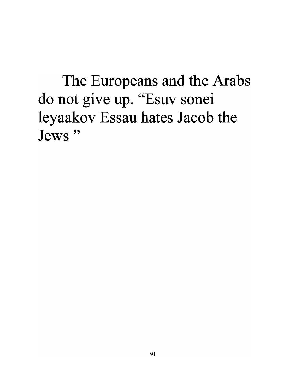The Europeans and the Arabs do not give up. "Esuv sonei leyaakov Essau hates Jacob the Jews **"**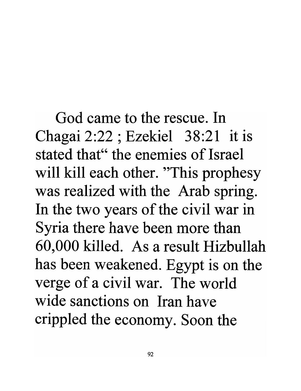God came to the rescue. In Chagai 2:22; Ezekiel 38:21 it is stated that" the enemies of Israel will kill each other. "This prophesy" was realized with the Arab spring. In the two years of the civil war in Syria there have been more than 60,000 killed. As a result Hizbullah has been weakened. Egypt is on the verge of a civil war. The world wide sanctions on Iran have crippled the economy. Soon the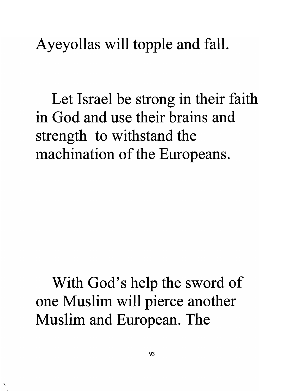Ayeyollas will topple and fall.

Let Israel be strong in their faith in God and use their brains and strength to withstand the machination of the Europeans.

With God's help the sword of one Muslim will pierce another Muslim and European. The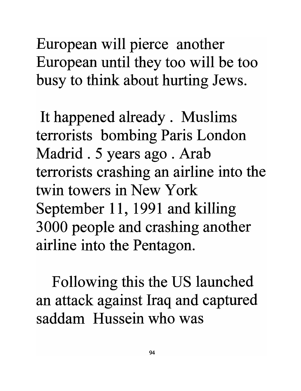European will pierce another European until they too will be too busy to think about hurting Jews.

It happened already. Muslims terrorists bombing Paris London Madrid . 5 years ago . Arab terrorists crashing an airline into the twin towers in New York September 11, 1991 and killing 3000 people and crashing another airline into the Pentagon.

Following this the US launched an attack against Iraq and captured saddam Hussein who was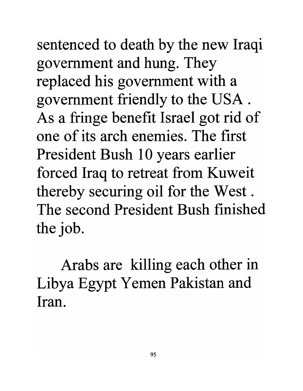sentenced to death by the new Iraqi government and hung. They replaced his government with a government friendly to the USA. As a fringe benefit Israel got rid of one of its arch enemies. The first President Bush 10 years earlier. forced Iraq to retreat from Kuweit thereby securing oil for the West. The second President Bush finished the job.

Arabs are killing each other in Libya Egypt Yemen Pakistan and **Iran.**